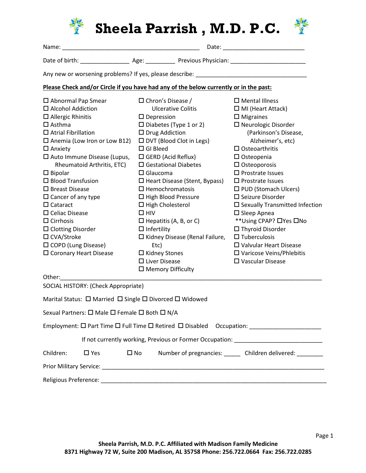

| ↩ |  |
|---|--|
|   |  |

SOCIAL HISTORY: (Check Appropriate)

|                                                                                                      |            |              | Marital Status: $\Box$ Married $\Box$ Single $\Box$ Divorced $\Box$ Widowed |  |  |
|------------------------------------------------------------------------------------------------------|------------|--------------|-----------------------------------------------------------------------------|--|--|
| Sexual Partners: $\square$ Male $\square$ Female $\square$ Both $\square$ N/A                        |            |              |                                                                             |  |  |
| Employment: $\square$ Part Time $\square$ Full Time $\square$ Retired $\square$ Disabled Occupation: |            |              |                                                                             |  |  |
| If not currently working, Previous or Former Occupation:                                             |            |              |                                                                             |  |  |
| Children:                                                                                            | $\Box$ Yes | $\square$ No | Number of pregnancies: ______ Children delivered: _______                   |  |  |
|                                                                                                      |            |              |                                                                             |  |  |
| Religious Preference:                                                                                |            |              |                                                                             |  |  |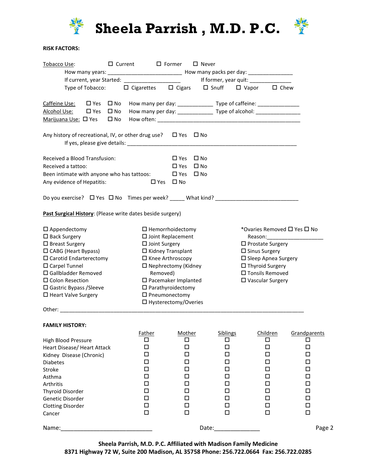

Sheela Parrish, M.D. P.C. **拳** 



## RISK FACTORS:

| <u> Tobacco Use</u> :                                                    |                                                | $\Box$ Current $\Box$ Former $\Box$ Never                                        |          |                               |                                          |  |
|--------------------------------------------------------------------------|------------------------------------------------|----------------------------------------------------------------------------------|----------|-------------------------------|------------------------------------------|--|
|                                                                          |                                                |                                                                                  |          |                               |                                          |  |
|                                                                          |                                                |                                                                                  |          |                               |                                          |  |
| Type of Tobacco:                                                         |                                                | □ Cigarettes □ Cigars □ Snuff □ Vapor □ Chew                                     |          |                               |                                          |  |
| $\square$ Yes<br>Caffeine Use:<br>$\square$ No                           |                                                |                                                                                  |          |                               |                                          |  |
| Alcohol Use:<br>$\square$ Yes<br>$\square$ No                            |                                                | How many per day: _________________ Type of alcohol: ___________________________ |          |                               |                                          |  |
| $\square$ No<br>Marijuana Use: □ Yes                                     |                                                |                                                                                  |          |                               |                                          |  |
| Any history of recreational, IV, or other drug use? $\Box$ Yes $\Box$ No |                                                |                                                                                  |          |                               |                                          |  |
|                                                                          |                                                |                                                                                  |          |                               |                                          |  |
| Received a Blood Transfusion:                                            |                                                | $\square$ Yes<br>⊟ No                                                            |          |                               |                                          |  |
| Received a tattoo:                                                       |                                                | $\square$ No<br>$\Box$ Yes                                                       |          |                               |                                          |  |
| Been intimate with anyone who has tattoos:<br>Any evidence of Hepatitis: | $\Box$ Yes                                     | $\square$ Yes<br>$\square$ No<br>$\square$ No                                    |          |                               |                                          |  |
|                                                                          |                                                |                                                                                  |          |                               |                                          |  |
|                                                                          |                                                |                                                                                  |          |                               |                                          |  |
| Past Surgical History: (Please write dates beside surgery)               |                                                |                                                                                  |          |                               |                                          |  |
| $\square$ Appendectomy                                                   |                                                | $\Box$ Hemorrhoidectomy                                                          |          | *Ovaries Removed □ Yes □ No   |                                          |  |
| $\square$ Back Surgery                                                   |                                                | □ Joint Replacement                                                              |          |                               | Reason: National Property of the Reason: |  |
| $\square$ Breast Surgery                                                 | $\Box$ Joint Surgery                           |                                                                                  |          | $\Box$ Prostate Surgery       |                                          |  |
| $\Box$ CABG (Heart Bypass)                                               |                                                | $\Box$ Kidney Transplant                                                         |          | $\square$ Sinus Surgery       |                                          |  |
| $\Box$ Carotid Endarterectomy                                            |                                                | $\Box$ Knee Arthroscopy                                                          |          | $\square$ Sleep Apnea Surgery |                                          |  |
| $\Box$ Carpel Tunnel                                                     |                                                | $\Box$ Nephrectomy (Kidney                                                       |          | $\Box$ Thyroid Surgery        |                                          |  |
| $\Box$ Gallbladder Removed                                               | Removed)                                       |                                                                                  |          | □ Tonsils Removed             |                                          |  |
| □ Colon Resection                                                        |                                                | $\square$ Pacemaker Implanted                                                    |          | $\square$ Vascular Surgery    |                                          |  |
| $\Box$ Gastric Bypass / Sleeve                                           |                                                | $\Box$ Parathyroidectomy                                                         |          |                               |                                          |  |
| $\Box$ Heart Valve Surgery                                               | $\Box$ Pneumonectomy<br>□ Hysterectomy/Overies |                                                                                  |          |                               |                                          |  |
|                                                                          |                                                |                                                                                  |          |                               |                                          |  |
| <b>FAMILY HISTORY:</b>                                                   |                                                |                                                                                  |          |                               |                                          |  |
|                                                                          | <b>Father</b>                                  | Mother                                                                           | Siblings | Children                      | Grandparents                             |  |
| High Blood Pressure                                                      | □                                              | □                                                                                | □        | □                             | ◻                                        |  |
| Heart Disease/ Heart Attack                                              | □                                              | □                                                                                | □        | □                             | □                                        |  |
| Kidney Disease (Chronic)                                                 | □                                              | □                                                                                | □        | □                             | □                                        |  |
| <b>Diabetes</b>                                                          | ◻                                              | □                                                                                | □        | □                             | □                                        |  |
| Stroke                                                                   | □                                              | □                                                                                | □        | □                             | □                                        |  |
| Asthma                                                                   | ◻                                              | □                                                                                | □        | □                             | □                                        |  |
| Arthritis                                                                | □                                              | □                                                                                | □        | □                             | □                                        |  |
| <b>Thyroid Disorder</b>                                                  | □                                              | □                                                                                | □        | □                             | □                                        |  |
| Genetic Disorder                                                         | □                                              | □                                                                                | □        | □                             | □                                        |  |
| <b>Clotting Disorder</b>                                                 | $\Box$                                         | □                                                                                | □        | □                             | $\Box$                                   |  |
| Cancer                                                                   | □                                              | $\Box$                                                                           | □        | $\Box$                        | $\Box$                                   |  |
| Name:                                                                    |                                                |                                                                                  | Date:    |                               | Page 2                                   |  |

Sheela Parrish, M.D. P.C. Affiliated with Madison Family Medicine 8371 Highway 72 W, Suite 200 Madison, AL 35758 Phone: 256.722.0664 Fax: 256.722.0285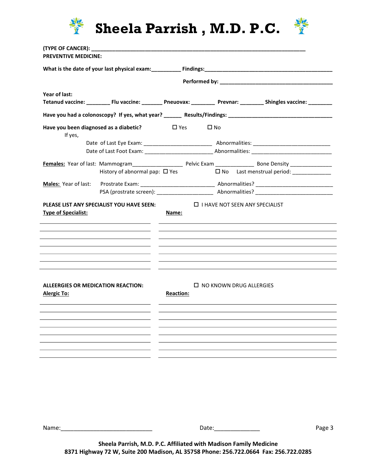

Sheela Parrish, M.D. P.C. **拳** 



| Year of last:                                            |                                                                                                                                                                             |                  | Tetanud vaccine: ____________Flu vaccine: ____________Pneuovax: ____________Prevnar: ___________Shingles vaccine: __________                                                                                                         |
|----------------------------------------------------------|-----------------------------------------------------------------------------------------------------------------------------------------------------------------------------|------------------|--------------------------------------------------------------------------------------------------------------------------------------------------------------------------------------------------------------------------------------|
|                                                          |                                                                                                                                                                             |                  |                                                                                                                                                                                                                                      |
| Have you been diagnosed as a diabetic?<br>If yes,        |                                                                                                                                                                             | $\Box$ Yes       | $\square$ No                                                                                                                                                                                                                         |
|                                                          |                                                                                                                                                                             |                  |                                                                                                                                                                                                                                      |
|                                                          |                                                                                                                                                                             |                  |                                                                                                                                                                                                                                      |
|                                                          |                                                                                                                                                                             |                  |                                                                                                                                                                                                                                      |
|                                                          | History of abnormal pap: $\Box$ Yes                                                                                                                                         |                  | □ No Last menstrual period: ____________                                                                                                                                                                                             |
|                                                          |                                                                                                                                                                             |                  |                                                                                                                                                                                                                                      |
|                                                          |                                                                                                                                                                             |                  |                                                                                                                                                                                                                                      |
| <b>Type of Specialist:</b>                               | <u> 1989 - Johann John Stone, markin fizik eta idazlearia (h. 1982).</u><br>the contract of the contract of the contract of the contract of the contract of the contract of | Name:            | <u>state and the state of the state of the state of the state of the state of the state of the state of the state of the state of the state of the state of the state of the state of the state of the state of the state of the</u> |
|                                                          |                                                                                                                                                                             |                  |                                                                                                                                                                                                                                      |
| ALLEERGIES OR MEDICATION REACTION:<br><b>Alergic To:</b> |                                                                                                                                                                             | <b>Reaction:</b> | $\Box$ NO KNOWN DRUG ALLERGIES                                                                                                                                                                                                       |
|                                                          |                                                                                                                                                                             |                  |                                                                                                                                                                                                                                      |
|                                                          |                                                                                                                                                                             |                  |                                                                                                                                                                                                                                      |
|                                                          |                                                                                                                                                                             |                  |                                                                                                                                                                                                                                      |

Name:\_\_\_\_\_\_\_\_\_\_\_\_\_\_\_\_\_\_\_\_\_\_\_\_\_\_\_\_ Date:\_\_\_\_\_\_\_\_\_\_\_\_\_\_ Page 3

Sheela Parrish, M.D. P.C. Affiliated with Madison Family Medicine 8371 Highway 72 W, Suite 200 Madison, AL 35758 Phone: 256.722.0664 Fax: 256.722.0285